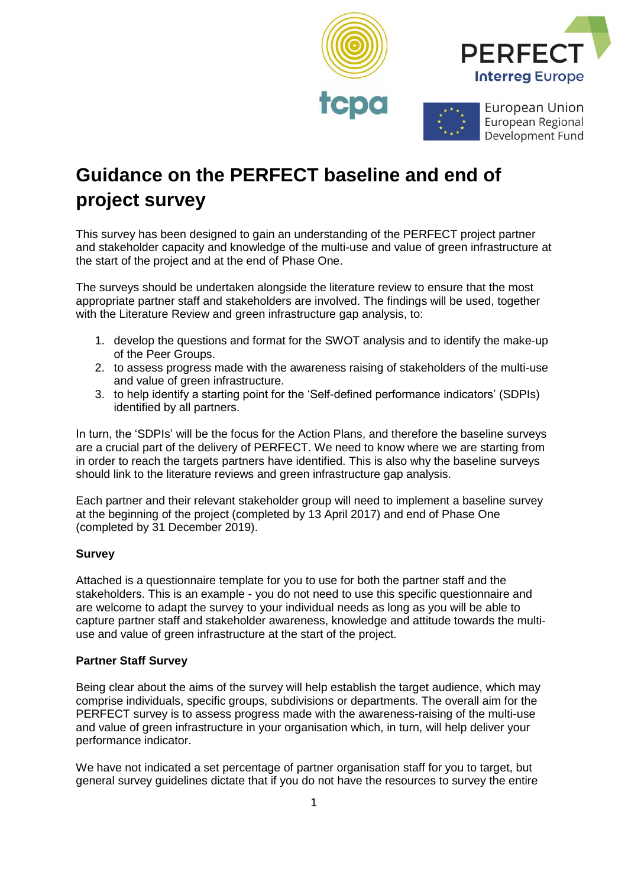

# **Guidance on the PERFECT baseline and end of project survey**

This survey has been designed to gain an understanding of the PERFECT project partner and stakeholder capacity and knowledge of the multi-use and value of green infrastructure at the start of the project and at the end of Phase One.

The surveys should be undertaken alongside the literature review to ensure that the most appropriate partner staff and stakeholders are involved. The findings will be used, together with the Literature Review and green infrastructure gap analysis, to:

- 1. develop the questions and format for the SWOT analysis and to identify the make-up of the Peer Groups.
- 2. to assess progress made with the awareness raising of stakeholders of the multi-use and value of green infrastructure.
- 3. to help identify a starting point for the 'Self-defined performance indicators' (SDPIs) identified by all partners.

In turn, the 'SDPIs' will be the focus for the Action Plans, and therefore the baseline surveys are a crucial part of the delivery of PERFECT. We need to know where we are starting from in order to reach the targets partners have identified. This is also why the baseline surveys should link to the literature reviews and green infrastructure gap analysis.

Each partner and their relevant stakeholder group will need to implement a baseline survey at the beginning of the project (completed by 13 April 2017) and end of Phase One (completed by 31 December 2019).

## **Survey**

Attached is a questionnaire template for you to use for both the partner staff and the stakeholders. This is an example - you do not need to use this specific questionnaire and are welcome to adapt the survey to your individual needs as long as you will be able to capture partner staff and stakeholder awareness, knowledge and attitude towards the multiuse and value of green infrastructure at the start of the project.

## **Partner Staff Survey**

Being clear about the aims of the survey will help establish the target audience, which may comprise individuals, specific groups, subdivisions or departments. The overall aim for the PERFECT survey is to assess progress made with the awareness-raising of the multi-use and value of green infrastructure in your organisation which, in turn, will help deliver your performance indicator.

We have not indicated a set percentage of partner organisation staff for you to target, but general survey guidelines dictate that if you do not have the resources to survey the entire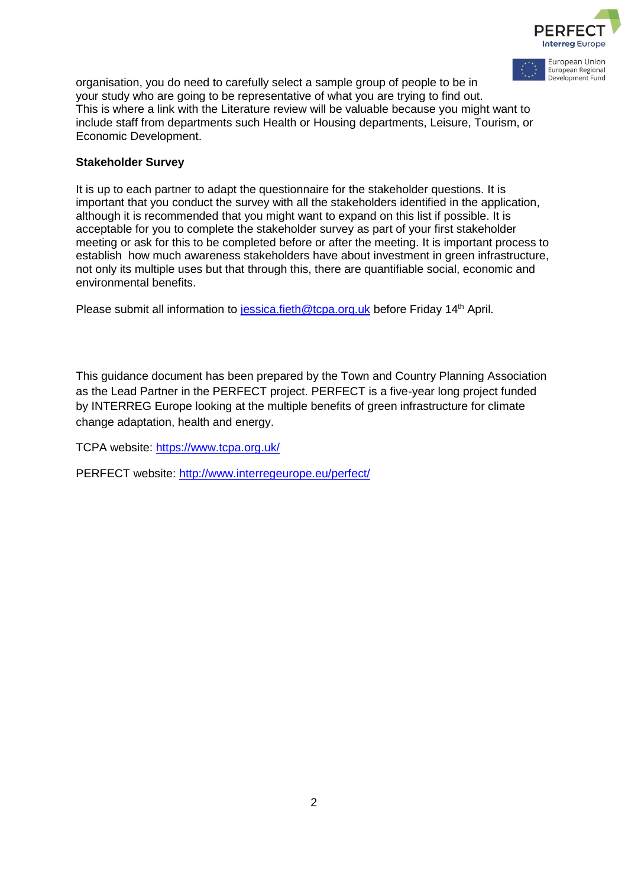

European Union European Regional Development Fund

organisation, you do need to carefully select a sample group of people to be in your study who are going to be representative of what you are trying to find out. This is where a link with the Literature review will be valuable because you might want to include staff from departments such Health or Housing departments, Leisure, Tourism, or Economic Development.

#### **Stakeholder Survey**

It is up to each partner to adapt the questionnaire for the stakeholder questions. It is important that you conduct the survey with all the stakeholders identified in the application, although it is recommended that you might want to expand on this list if possible. It is acceptable for you to complete the stakeholder survey as part of your first stakeholder meeting or ask for this to be completed before or after the meeting. It is important process to establish how much awareness stakeholders have about investment in green infrastructure, not only its multiple uses but that through this, there are quantifiable social, economic and environmental benefits.

Please submit all information to [jessica.fieth@tcpa.org.uk](mailto:jessica.fieth@tcpa.org.uk) before Friday 14<sup>th</sup> April.

This guidance document has been prepared by the Town and Country Planning Association as the Lead Partner in the PERFECT project. PERFECT is a five-year long project funded by INTERREG Europe looking at the multiple benefits of green infrastructure for climate change adaptation, health and energy.

TCPA website:<https://www.tcpa.org.uk/>

PERFECT website:<http://www.interregeurope.eu/perfect/>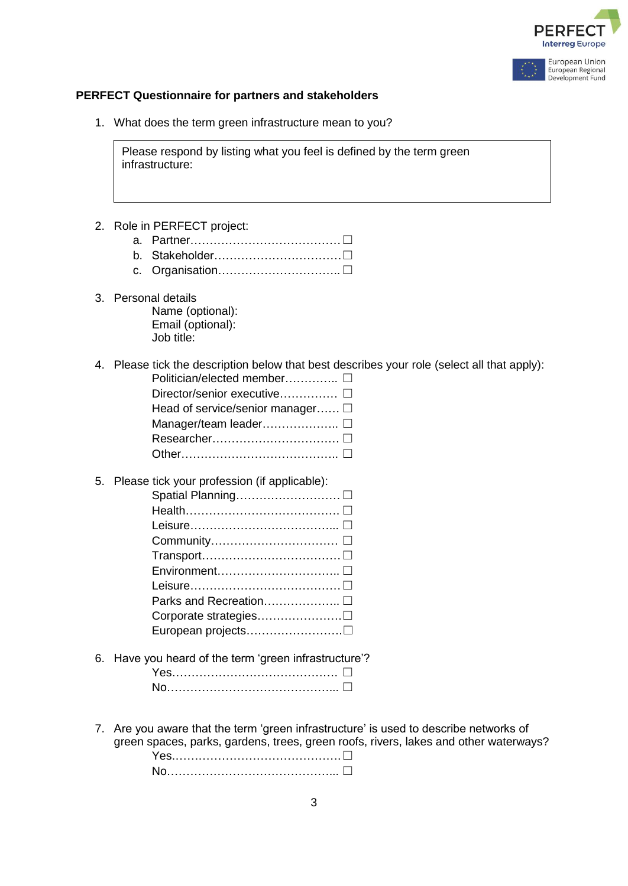



#### **PERFECT Questionnaire for partners and stakeholders**

1. What does the term green infrastructure mean to you?

Please respond by listing what you feel is defined by the term green infrastructure:

- 2. Role in PERFECT project:
	- a. Partner…………………………………☐
	- b. Stakeholder……………………………☐
	- c. Organisation……………………… □
- 3. Personal details Name (optional): Email (optional): Job title:
- 4. Please tick the description below that best describes your role (select all that apply): Politician/elected member………….. ☐

| Director/senior executive □      |
|----------------------------------|
| Head of service/senior manager □ |
|                                  |
|                                  |
|                                  |
|                                  |

5. Please tick your profession (if applicable):

| Parks and Recreation □ |
|------------------------|
|                        |
|                        |
|                        |

6. Have you heard of the term 'green infrastructure'?

7. Are you aware that the term 'green infrastructure' is used to describe networks of green spaces, parks, gardens, trees, green roofs, rivers, lakes and other waterways? Yes.………………………………□

No……………………………… □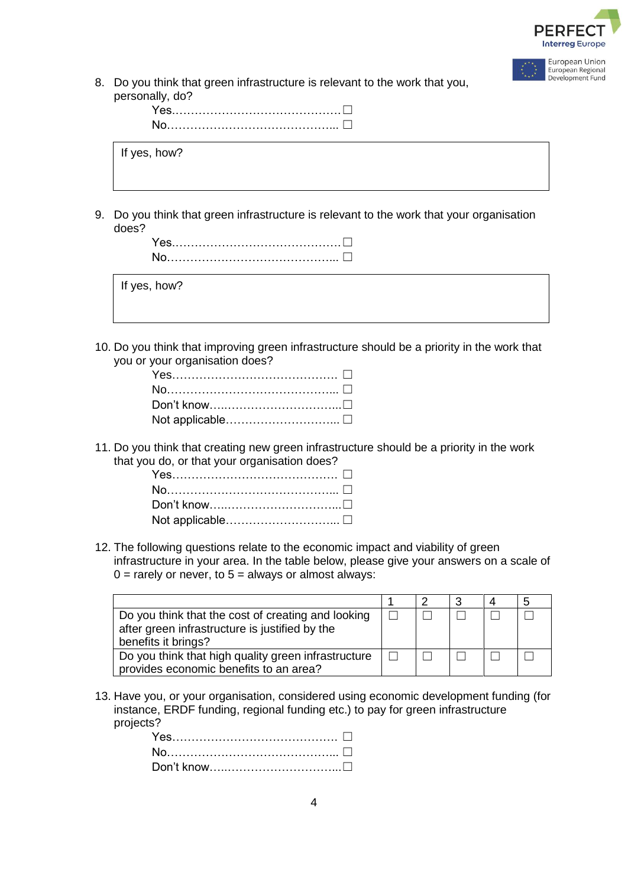

| European Union    |
|-------------------|
| European Regional |
| Development Fund  |

8. Do you think that green infrastructure is relevant to the work that you, personally, do?

| If yes, how? |  |
|--------------|--|

9. Do you think that green infrastructure is relevant to the work that your organisation does?



| If yes, how? |  |  |  |
|--------------|--|--|--|
|              |  |  |  |

10. Do you think that improving green infrastructure should be a priority in the work that you or your organisation does?

11. Do you think that creating new green infrastructure should be a priority in the work that you do, or that your organisation does?

| Yes…………………………………… □ |  |
|---------------------|--|
|                     |  |
|                     |  |
|                     |  |

12. The following questions relate to the economic impact and viability of green infrastructure in your area. In the table below, please give your answers on a scale of  $0 =$  rarely or never, to  $5 =$  always or almost always:

| Do you think that the cost of creating and looking<br>after green infrastructure is justified by the<br>benefits it brings? |  |  |  |
|-----------------------------------------------------------------------------------------------------------------------------|--|--|--|
| Do you think that high quality green infrastructure<br>provides economic benefits to an area?                               |  |  |  |

13. Have you, or your organisation, considered using economic development funding (for instance, ERDF funding, regional funding etc.) to pay for green infrastructure projects?